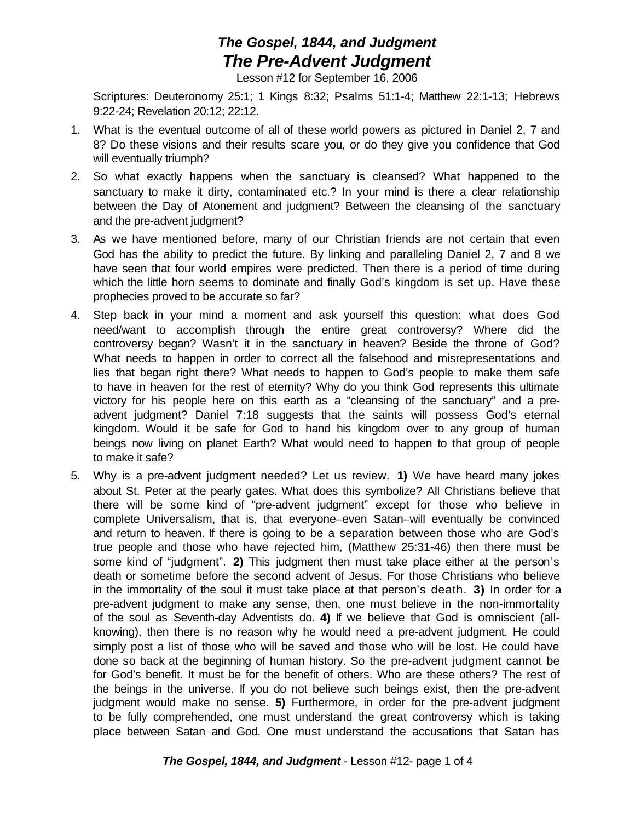## *The Gospel, 1844, and Judgment The Pre-Advent Judgment*

Lesson #12 for September 16, 2006

Scriptures: Deuteronomy 25:1; 1 Kings 8:32; Psalms 51:1-4; Matthew 22:1-13; Hebrews 9:22-24; Revelation 20:12; 22:12.

- 1. What is the eventual outcome of all of these world powers as pictured in Daniel 2, 7 and 8? Do these visions and their results scare you, or do they give you confidence that God will eventually triumph?
- 2. So what exactly happens when the sanctuary is cleansed? What happened to the sanctuary to make it dirty, contaminated etc.? In your mind is there a clear relationship between the Day of Atonement and judgment? Between the cleansing of the sanctuary and the pre-advent judgment?
- 3. As we have mentioned before, many of our Christian friends are not certain that even God has the ability to predict the future. By linking and paralleling Daniel 2, 7 and 8 we have seen that four world empires were predicted. Then there is a period of time during which the little horn seems to dominate and finally God's kingdom is set up. Have these prophecies proved to be accurate so far?
- 4. Step back in your mind a moment and ask yourself this question: what does God need/want to accomplish through the entire great controversy? Where did the controversy began? Wasn't it in the sanctuary in heaven? Beside the throne of God? What needs to happen in order to correct all the falsehood and misrepresentations and lies that began right there? What needs to happen to God's people to make them safe to have in heaven for the rest of eternity? Why do you think God represents this ultimate victory for his people here on this earth as a "cleansing of the sanctuary" and a preadvent judgment? Daniel 7:18 suggests that the saints will possess God's eternal kingdom. Would it be safe for God to hand his kingdom over to any group of human beings now living on planet Earth? What would need to happen to that group of people to make it safe?
- 5. Why is a pre-advent judgment needed? Let us review. **1)** We have heard many jokes about St. Peter at the pearly gates. What does this symbolize? All Christians believe that there will be some kind of "pre-advent judgment" except for those who believe in complete Universalism, that is, that everyone–even Satan–will eventually be convinced and return to heaven. If there is going to be a separation between those who are God's true people and those who have rejected him, (Matthew 25:31-46) then there must be some kind of "judgment". **2)** This judgment then must take place either at the person's death or sometime before the second advent of Jesus. For those Christians who believe in the immortality of the soul it must take place at that person's death. **3)** In order for a pre-advent judgment to make any sense, then, one must believe in the non-immortality of the soul as Seventh-day Adventists do. **4)** If we believe that God is omniscient (allknowing), then there is no reason why he would need a pre-advent judgment. He could simply post a list of those who will be saved and those who will be lost. He could have done so back at the beginning of human history. So the pre-advent judgment cannot be for God's benefit. It must be for the benefit of others. Who are these others? The rest of the beings in the universe. If you do not believe such beings exist, then the pre-advent judgment would make no sense. **5)** Furthermore, in order for the pre-advent judgment to be fully comprehended, one must understand the great controversy which is taking place between Satan and God. One must understand the accusations that Satan has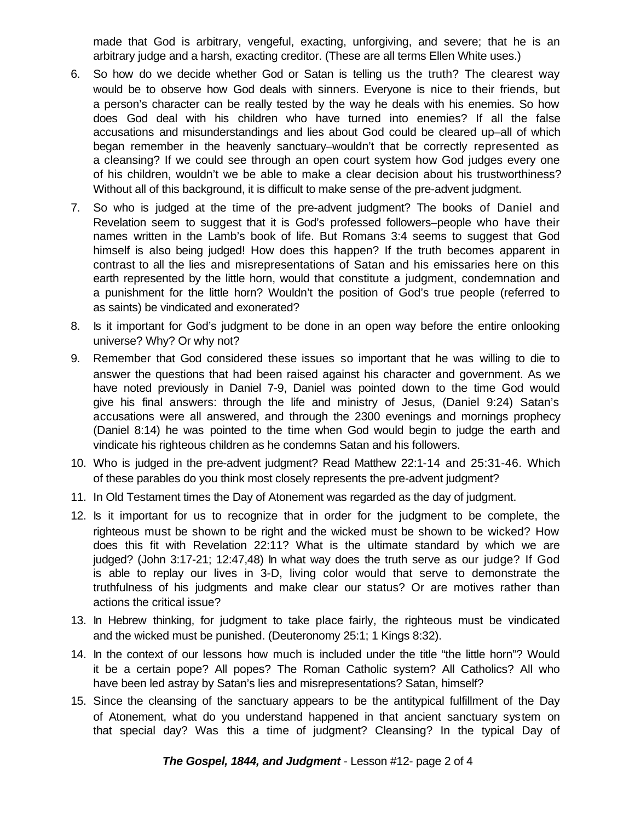made that God is arbitrary, vengeful, exacting, unforgiving, and severe; that he is an arbitrary judge and a harsh, exacting creditor. (These are all terms Ellen White uses.)

- 6. So how do we decide whether God or Satan is telling us the truth? The clearest way would be to observe how God deals with sinners. Everyone is nice to their friends, but a person's character can be really tested by the way he deals with his enemies. So how does God deal with his children who have turned into enemies? If all the false accusations and misunderstandings and lies about God could be cleared up–all of which began remember in the heavenly sanctuary–wouldn't that be correctly represented as a cleansing? If we could see through an open court system how God judges every one of his children, wouldn't we be able to make a clear decision about his trustworthiness? Without all of this background, it is difficult to make sense of the pre-advent judgment.
- 7. So who is judged at the time of the pre-advent judgment? The books of Daniel and Revelation seem to suggest that it is God's professed followers–people who have their names written in the Lamb's book of life. But Romans 3:4 seems to suggest that God himself is also being judged! How does this happen? If the truth becomes apparent in contrast to all the lies and misrepresentations of Satan and his emissaries here on this earth represented by the little horn, would that constitute a judgment, condemnation and a punishment for the little horn? Wouldn't the position of God's true people (referred to as saints) be vindicated and exonerated?
- 8. Is it important for God's judgment to be done in an open way before the entire onlooking universe? Why? Or why not?
- 9. Remember that God considered these issues so important that he was willing to die to answer the questions that had been raised against his character and government. As we have noted previously in Daniel 7-9, Daniel was pointed down to the time God would give his final answers: through the life and ministry of Jesus, (Daniel 9:24) Satan's accusations were all answered, and through the 2300 evenings and mornings prophecy (Daniel 8:14) he was pointed to the time when God would begin to judge the earth and vindicate his righteous children as he condemns Satan and his followers.
- 10. Who is judged in the pre-advent judgment? Read Matthew 22:1-14 and 25:31-46. Which of these parables do you think most closely represents the pre-advent judgment?
- 11. In Old Testament times the Day of Atonement was regarded as the day of judgment.
- 12. Is it important for us to recognize that in order for the judgment to be complete, the righteous must be shown to be right and the wicked must be shown to be wicked? How does this fit with Revelation 22:11? What is the ultimate standard by which we are judged? (John 3:17-21; 12:47,48) In what way does the truth serve as our judge? If God is able to replay our lives in 3-D, living color would that serve to demonstrate the truthfulness of his judgments and make clear our status? Or are motives rather than actions the critical issue?
- 13. In Hebrew thinking, for judgment to take place fairly, the righteous must be vindicated and the wicked must be punished. (Deuteronomy 25:1; 1 Kings 8:32).
- 14. In the context of our lessons how much is included under the title "the little horn"? Would it be a certain pope? All popes? The Roman Catholic system? All Catholics? All who have been led astray by Satan's lies and misrepresentations? Satan, himself?
- 15. Since the cleansing of the sanctuary appears to be the antitypical fulfillment of the Day of Atonement, what do you understand happened in that ancient sanctuary system on that special day? Was this a time of judgment? Cleansing? In the typical Day of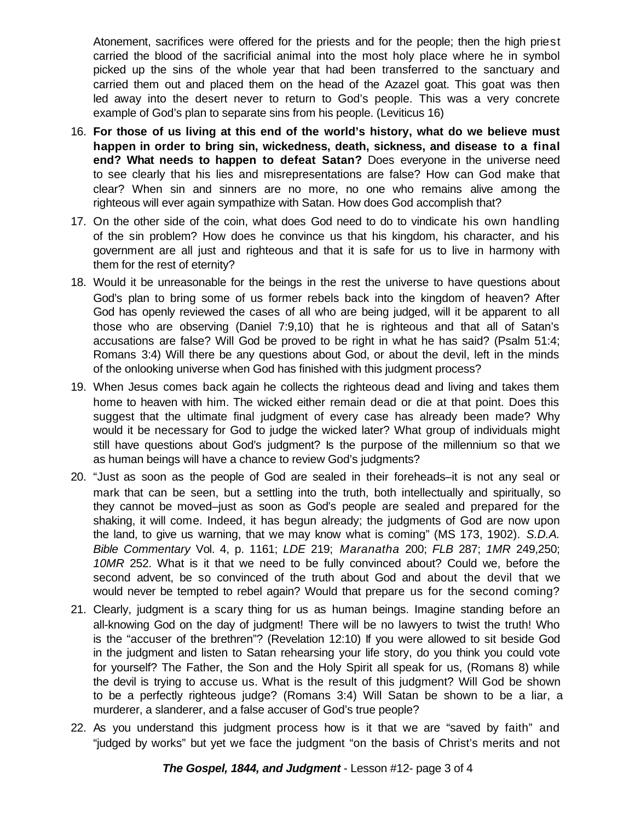Atonement, sacrifices were offered for the priests and for the people; then the high priest carried the blood of the sacrificial animal into the most holy place where he in symbol picked up the sins of the whole year that had been transferred to the sanctuary and carried them out and placed them on the head of the Azazel goat. This goat was then led away into the desert never to return to God's people. This was a very concrete example of God's plan to separate sins from his people. (Leviticus 16)

- 16. **For those of us living at this end of the world's history, what do we believe must happen in order to bring sin, wickedness, death, sickness, and disease to a final end? What needs to happen to defeat Satan?** Does everyone in the universe need to see clearly that his lies and misrepresentations are false? How can God make that clear? When sin and sinners are no more, no one who remains alive among the righteous will ever again sympathize with Satan. How does God accomplish that?
- 17. On the other side of the coin, what does God need to do to vindicate his own handling of the sin problem? How does he convince us that his kingdom, his character, and his government are all just and righteous and that it is safe for us to live in harmony with them for the rest of eternity?
- 18. Would it be unreasonable for the beings in the rest the universe to have questions about God's plan to bring some of us former rebels back into the kingdom of heaven? After God has openly reviewed the cases of all who are being judged, will it be apparent to all those who are observing (Daniel 7:9,10) that he is righteous and that all of Satan's accusations are false? Will God be proved to be right in what he has said? (Psalm 51:4; Romans 3:4) Will there be any questions about God, or about the devil, left in the minds of the onlooking universe when God has finished with this judgment process?
- 19. When Jesus comes back again he collects the righteous dead and living and takes them home to heaven with him. The wicked either remain dead or die at that point. Does this suggest that the ultimate final judgment of every case has already been made? Why would it be necessary for God to judge the wicked later? What group of individuals might still have questions about God's judgment? Is the purpose of the millennium so that we as human beings will have a chance to review God's judgments?
- 20. "Just as soon as the people of God are sealed in their foreheads–it is not any seal or mark that can be seen, but a settling into the truth, both intellectually and spiritually, so they cannot be moved–just as soon as God's people are sealed and prepared for the shaking, it will come. Indeed, it has begun already; the judgments of God are now upon the land, to give us warning, that we may know what is coming" (MS 173, 1902). *S.D.A. Bible Commentary* Vol. 4, p. 1161; *LDE* 219; *Maranatha* 200; *FLB* 287; *1MR* 249,250; *10MR* 252. What is it that we need to be fully convinced about? Could we, before the second advent, be so convinced of the truth about God and about the devil that we would never be tempted to rebel again? Would that prepare us for the second coming?
- 21. Clearly, judgment is a scary thing for us as human beings. Imagine standing before an all-knowing God on the day of judgment! There will be no lawyers to twist the truth! Who is the "accuser of the brethren"? (Revelation 12:10) If you were allowed to sit beside God in the judgment and listen to Satan rehearsing your life story, do you think you could vote for yourself? The Father, the Son and the Holy Spirit all speak for us, (Romans 8) while the devil is trying to accuse us. What is the result of this judgment? Will God be shown to be a perfectly righteous judge? (Romans 3:4) Will Satan be shown to be a liar, a murderer, a slanderer, and a false accuser of God's true people?
- 22. As you understand this judgment process how is it that we are "saved by faith" and "judged by works" but yet we face the judgment "on the basis of Christ's merits and not